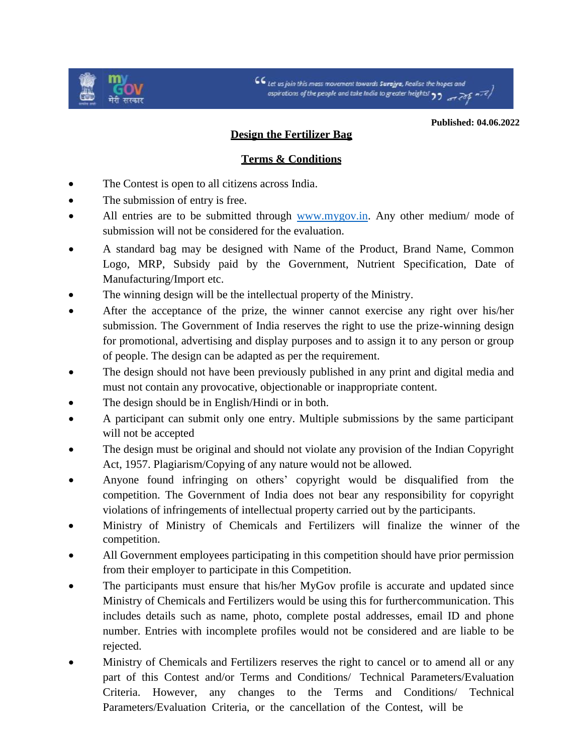

CC Let us join this mass movement towards **Surajya**, Realise the hopes and<br>ospirations of the people and take India to greater heights!  $\frac{1}{2}$ 

**Published: 04.06.2022**

## **Design the Fertilizer Bag**

## **Terms & Conditions**

- The Contest is open to all citizens across India.
- The submission of entry is free.
- All entries are to be submitted through [www.mygov.in.](http://www.mygov.in/) Any other medium/ mode of submission will not be considered for the evaluation.
- A standard bag may be designed with Name of the Product, Brand Name, Common Logo, MRP, Subsidy paid by the Government, Nutrient Specification, Date of Manufacturing/Import etc.
- The winning design will be the intellectual property of the Ministry.
- After the acceptance of the prize, the winner cannot exercise any right over his/her submission. The Government of India reserves the right to use the prize-winning design for promotional, advertising and display purposes and to assign it to any person or group of people. The design can be adapted as per the requirement.
- The design should not have been previously published in any print and digital media and must not contain any provocative, objectionable or inappropriate content.
- The design should be in English/Hindi or in both.
- A participant can submit only one entry. Multiple submissions by the same participant will not be accepted
- The design must be original and should not violate any provision of the Indian Copyright Act, 1957. Plagiarism/Copying of any nature would not be allowed.
- Anyone found infringing on others' copyright would be disqualified from the competition. The Government of India does not bear any responsibility for copyright violations of infringements of intellectual property carried out by the participants.
- Ministry of Ministry of Chemicals and Fertilizers will finalize the winner of the competition.
- All Government employees participating in this competition should have prior permission from their employer to participate in this Competition.
- The participants must ensure that his/her MyGov profile is accurate and updated since Ministry of Chemicals and Fertilizers would be using this for furthercommunication. This includes details such as name, photo, complete postal addresses, email ID and phone number. Entries with incomplete profiles would not be considered and are liable to be rejected.
- Ministry of Chemicals and Fertilizers reserves the right to cancel or to amend all or any part of this Contest and/or Terms and Conditions/ Technical Parameters/Evaluation Criteria. However, any changes to the Terms and Conditions/ Technical Parameters/Evaluation Criteria, or the cancellation of the Contest, will be